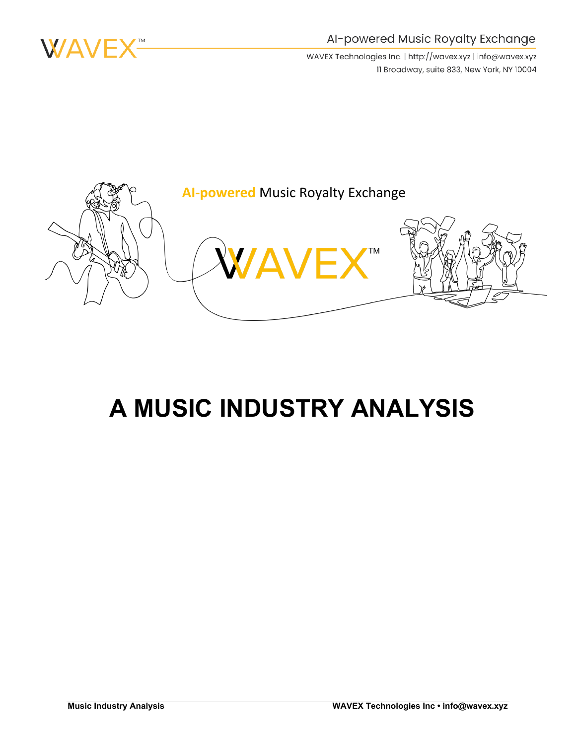

#### Al-powered Music Royalty Exchange

WAVEX Technologies Inc. | http://wavex.xyz | info@wavex.xyz 11 Broadway, suite 833, New York, NY 10004



# **A MUSIC INDUSTRY ANALYSIS**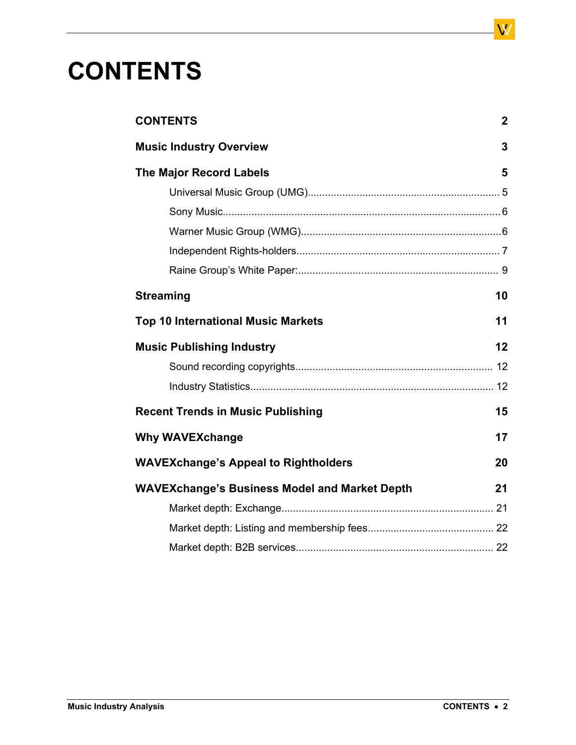# **CONTENTS**

| <b>CONTENTS</b>                                      | $\mathbf{2}$ |
|------------------------------------------------------|--------------|
| <b>Music Industry Overview</b>                       | 3            |
| <b>The Major Record Labels</b>                       | 5            |
|                                                      |              |
|                                                      |              |
|                                                      |              |
|                                                      |              |
|                                                      |              |
| <b>Streaming</b>                                     | 10           |
| <b>Top 10 International Music Markets</b>            | 11           |
| <b>Music Publishing Industry</b>                     | 12           |
|                                                      |              |
|                                                      |              |
| <b>Recent Trends in Music Publishing</b>             | 15           |
| <b>Why WAVEXchange</b>                               | 17           |
| <b>WAVEXchange's Appeal to Rightholders</b>          | 20           |
| <b>WAVEXchange's Business Model and Market Depth</b> |              |
|                                                      |              |
|                                                      |              |
|                                                      |              |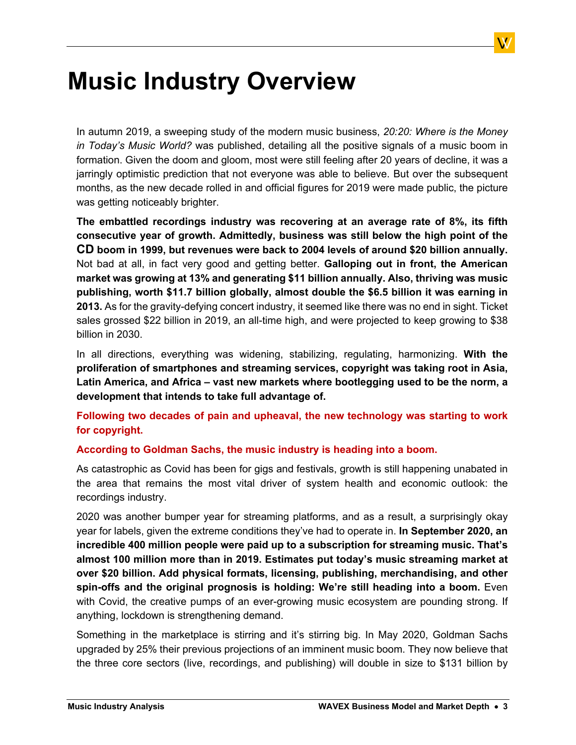# <span id="page-2-0"></span>**Music Industry Overview**

In autumn 2019, a sweeping study of the modern music business, *20:20: Where is the Money in Today's Music World?* was published, detailing all the positive signals of a music boom in formation. Given the doom and gloom, most were still feeling after 20 years of decline, it was a jarringly optimistic prediction that not everyone was able to believe. But over the subsequent months, as the new decade rolled in and official figures for 2019 were made public, the picture was getting noticeably brighter.

**The embattled recordings industry was recovering at an average rate of 8%, its fifth consecutive year of growth. Admittedly, business was still below the high point of the CD boom in 1999, but revenues were back to 2004 levels of around \$20 billion annually.** Not bad at all, in fact very good and getting better. **Galloping out in front, the American market was growing at 13% and generating \$11 billion annually. Also, thriving was music publishing, worth \$11.7 billion globally, almost double the \$6.5 billion it was earning in 2013.** As for the gravity-defying concert industry, it seemed like there was no end in sight. Ticket sales grossed \$22 billion in 2019, an all-time high, and were projected to keep growing to \$38 billion in 2030.

In all directions, everything was widening, stabilizing, regulating, harmonizing. **With the proliferation of smartphones and streaming services, copyright was taking root in Asia, Latin America, and Africa – vast new markets where bootlegging used to be the norm, a development that intends to take full advantage of.**

**Following two decades of pain and upheaval, the new technology was starting to work for copyright.**

#### **According to Goldman Sachs, the music industry is heading into a boom.**

As catastrophic as Covid has been for gigs and festivals, growth is still happening unabated in the area that remains the most vital driver of system health and economic outlook: the recordings industry.

2020 was another bumper year for streaming platforms, and as a result, a surprisingly okay year for labels, given the extreme conditions they've had to operate in. **In September 2020, an incredible 400 million people were paid up to a subscription for streaming music. That's almost 100 million more than in 2019. Estimates put today's music streaming market at over \$20 billion. Add physical formats, licensing, publishing, merchandising, and other spin-offs and the original prognosis is holding: We're still heading into a boom.** Even with Covid, the creative pumps of an ever-growing music ecosystem are pounding strong. If anything, lockdown is strengthening demand.

Something in the marketplace is stirring and it's stirring big. In May 2020, Goldman Sachs upgraded by 25% their previous projections of an imminent music boom. They now believe that the three core sectors (live, recordings, and publishing) will double in size to \$131 billion by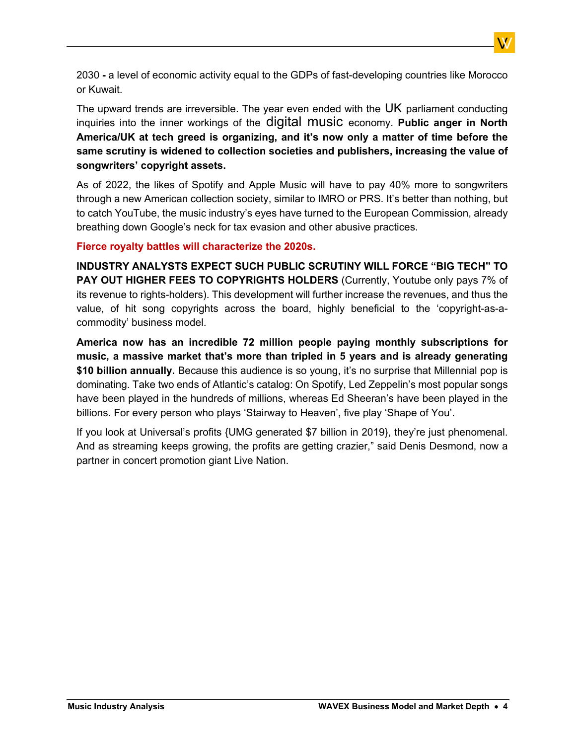2030 **-** a level of economic activity equal to the GDPs of fast-developing countries like Morocco or Kuwait.

The upward trends are irreversible. The year even ended with the UK parliament conducting inquiries into the inner workings of the digital music economy. **Public anger in North America/UK at tech greed is organizing, and it's now only a matter of time before the same scrutiny is widened to collection societies and publishers, increasing the value of songwriters' copyright assets.**

As of 2022, the likes of Spotify and Apple Music will have to pay 40% more to songwriters through a new American collection society, similar to IMRO or PRS. It's better than nothing, but to catch YouTube, the music industry's eyes have turned to the European Commission, already breathing down Google's neck for tax evasion and other abusive practices.

#### **Fierce royalty battles will characterize the 2020s.**

**INDUSTRY ANALYSTS EXPECT SUCH PUBLIC SCRUTINY WILL FORCE "BIG TECH" TO PAY OUT HIGHER FEES TO COPYRIGHTS HOLDERS** (Currently, Youtube only pays 7% of its revenue to rights-holders). This development will further increase the revenues, and thus the value, of hit song copyrights across the board, highly beneficial to the 'copyright-as-acommodity' business model.

**America now has an incredible 72 million people paying monthly subscriptions for music, a massive market that's more than tripled in 5 years and is already generating \$10 billion annually.** Because this audience is so young, it's no surprise that Millennial pop is dominating. Take two ends of Atlantic's catalog: On Spotify, Led Zeppelin's most popular songs have been played in the hundreds of millions, whereas Ed Sheeran's have been played in the billions. For every person who plays 'Stairway to Heaven', five play 'Shape of You'.

If you look at Universal's profits {UMG generated \$7 billion in 2019}, they're just phenomenal. And as streaming keeps growing, the profits are getting crazier," said Denis Desmond, now a partner in concert promotion giant Live Nation.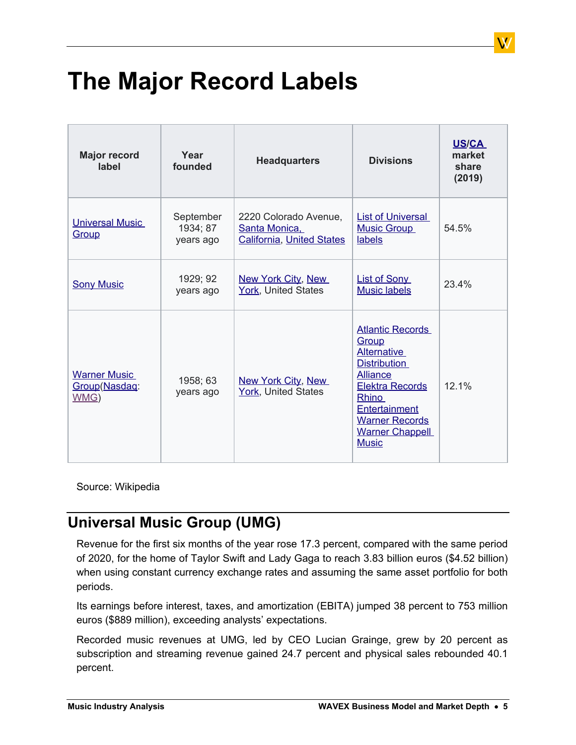# <span id="page-4-0"></span>**The Major Record Labels**

| <b>Major record</b><br>label                 | Year<br>founded                    | <b>Headquarters</b>                                                        | <b>Divisions</b>                                                                                                                                                                                                        | <b>US/CA</b><br>market<br>share<br>(2019) |
|----------------------------------------------|------------------------------------|----------------------------------------------------------------------------|-------------------------------------------------------------------------------------------------------------------------------------------------------------------------------------------------------------------------|-------------------------------------------|
| <b>Universal Music</b><br>Group              | September<br>1934; 87<br>years ago | 2220 Colorado Avenue,<br>Santa Monica,<br><b>California, United States</b> | <b>List of Universal</b><br><b>Music Group</b><br>labels                                                                                                                                                                | 54.5%                                     |
| <b>Sony Music</b>                            | 1929; 92<br>years ago              | <b>New York City, New</b><br>York, United States                           | <b>List of Sony</b><br><b>Music labels</b>                                                                                                                                                                              | 23.4%                                     |
| <b>Warner Music</b><br>Group(Nasdaq:<br>WMG) | 1958; 63<br>years ago              | <b>New York City, New</b><br>York, United States                           | <b>Atlantic Records</b><br>Group<br><b>Alternative</b><br><b>Distribution</b><br><b>Alliance</b><br><b>Elektra Records</b><br>Rhino<br>Entertainment<br><b>Warner Records</b><br><b>Warner Chappell</b><br><b>Music</b> | 12.1%                                     |

Source: Wikipedia

## <span id="page-4-1"></span>**Universal Music Group (UMG)**

Revenue for the first six months of the year rose 17.3 percent, compared with the same period of 2020, for the home of Taylor Swift and Lady Gaga to reach 3.83 billion euros (\$4.52 billion) when using constant currency exchange rates and assuming the same asset portfolio for both periods.

Its earnings before interest, taxes, and amortization (EBITA) jumped 38 percent to 753 million euros (\$889 million), exceeding analysts' expectations.

Recorded music revenues at UMG, led by CEO Lucian Grainge, grew by 20 percent as subscription and streaming revenue gained 24.7 percent and physical sales rebounded 40.1 percent.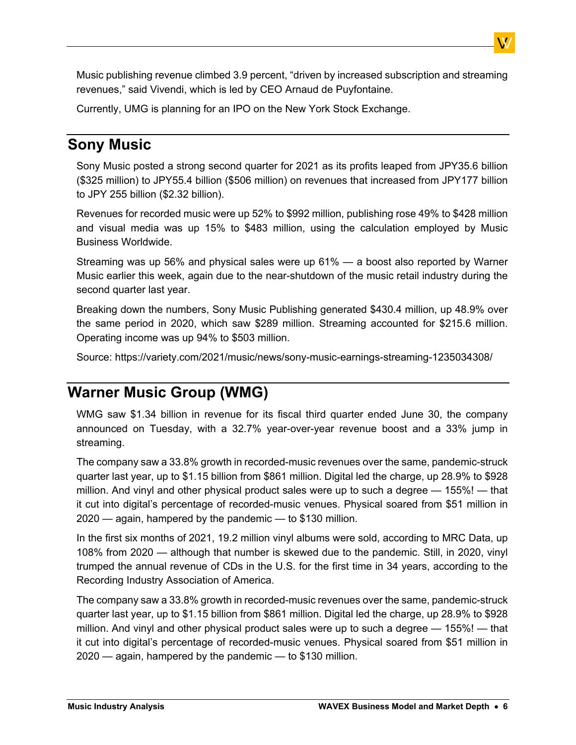Music publishing revenue climbed 3.9 percent, "driven by increased subscription and streaming revenues," said Vivendi, which is led by CEO Arnaud de Puyfontaine.

Currently, UMG is planning for an IPO on the New York Stock Exchange.

### <span id="page-5-0"></span>**Sony Music**

Sony Music posted a strong second quarter for 2021 as its profits leaped from JPY35.6 billion (\$325 million) to JPY55.4 billion (\$506 million) on revenues that increased from JPY177 billion to JPY 255 billion (\$2.32 billion).

Revenues for recorded music were up 52% to \$992 million, publishing rose 49% to \$428 million and visual media was up 15% to \$483 million, using the calculation employed by Music Business Worldwide.

Streaming was up 56% and physical sales were up 61% — a boost also reported by Warner Music earlier this week, again due to the near-shutdown of the music retail industry during the second quarter last year.

Breaking down the numbers, Sony Music Publishing generated \$430.4 million, up 48.9% over the same period in 2020, which saw \$289 million. Streaming accounted for \$215.6 million. Operating income was up 94% to \$503 million.

Source: <https://variety.com/2021/music/news/sony-music-earnings-streaming-1235034308/>

## <span id="page-5-1"></span>**Warner Music Group (WMG)**

WMG saw \$1.34 billion in revenue for its fiscal third quarter ended June 30, the company announced on Tuesday, with a 32.7% year-over-year revenue boost and a 33% jump in streaming.

The company saw a 33.8% growth in recorded-music revenues over the same, pandemic-struck quarter last year, up to \$1.15 billion from \$861 million. Digital led the charge, up 28.9% to \$928 million. And vinyl and other physical product sales were up to such a degree — 155%! — that it cut into digital's percentage of recorded-music venues. Physical soared from \$51 million in 2020 — again, hampered by the pandemic — to \$130 million.

In the first six months of 2021, 19.2 million vinyl albums were sold, according to MRC Data, up 108% from 2020 — although that number is skewed due to the pandemic. Still, in 2020, vinyl trumped the annual revenue of CDs in the U.S. for the first time in 34 years, according to the Recording Industry Association of America.

The company saw a 33.8% growth in recorded-music revenues over the same, pandemic-struck quarter last year, up to \$1.15 billion from \$861 million. Digital led the charge, up 28.9% to \$928 million. And vinyl and other physical product sales were up to such a degree — 155%! — that it cut into digital's percentage of recorded-music venues. Physical soared from \$51 million in 2020 — again, hampered by the pandemic — to \$130 million.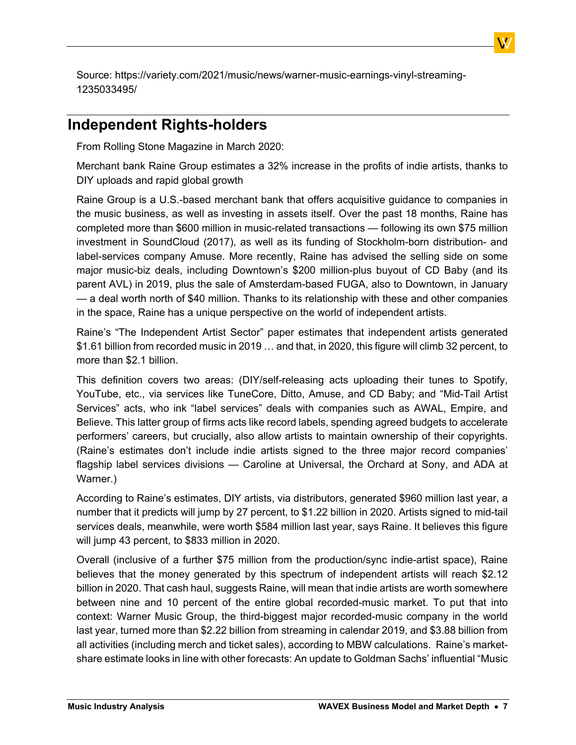Source: [https://variety.com/2021/music/news/warner-music-earnings-vinyl-streaming-](https://variety.com/2021/music/news/warner-music-earnings-vinyl-streaming-1235033495/)[1235033495/](https://variety.com/2021/music/news/warner-music-earnings-vinyl-streaming-1235033495/)

### <span id="page-6-0"></span>**Independent Rights-holders**

From Rolling Stone Magazine in March 2020:

Merchant bank Raine Group estimates a 32% increase in the profits of indie artists, thanks to DIY uploads and rapid global growth

Raine Group is a U.S.-based merchant bank that offers acquisitive guidance to companies in the music business, as well as investing in assets itself. Over the past 18 months, [Raine](https://www.musicbusinessworldwide.com/fred-davis-raine-group-theres-nothing-more-exciting-than-finding-a-new-idea/) [has](https://www.musicbusinessworldwide.com/fred-davis-raine-group-theres-nothing-more-exciting-than-finding-a-new-idea/) [completed](https://www.musicbusinessworldwide.com/fred-davis-raine-group-theres-nothing-more-exciting-than-finding-a-new-idea/) [more](https://www.musicbusinessworldwide.com/fred-davis-raine-group-theres-nothing-more-exciting-than-finding-a-new-idea/) [than](https://www.musicbusinessworldwide.com/fred-davis-raine-group-theres-nothing-more-exciting-than-finding-a-new-idea/) [\\$600](https://www.musicbusinessworldwide.com/fred-davis-raine-group-theres-nothing-more-exciting-than-finding-a-new-idea/) [million](https://www.musicbusinessworldwide.com/fred-davis-raine-group-theres-nothing-more-exciting-than-finding-a-new-idea/) [in](https://www.musicbusinessworldwide.com/fred-davis-raine-group-theres-nothing-more-exciting-than-finding-a-new-idea/) [music-related](https://www.musicbusinessworldwide.com/fred-davis-raine-group-theres-nothing-more-exciting-than-finding-a-new-idea/) [transactions](https://www.musicbusinessworldwide.com/fred-davis-raine-group-theres-nothing-more-exciting-than-finding-a-new-idea/) — following its own [\\$75](https://www.musicbusinessworldwide.com/soundcloud-posted-a-82m-loss-in-2016-but-took-on-170m-in-investment-last-year/) [million](https://www.musicbusinessworldwide.com/soundcloud-posted-a-82m-loss-in-2016-but-took-on-170m-in-investment-last-year/) [investment](https://www.musicbusinessworldwide.com/soundcloud-posted-a-82m-loss-in-2016-but-took-on-170m-in-investment-last-year/) [in](https://www.musicbusinessworldwide.com/soundcloud-posted-a-82m-loss-in-2016-but-took-on-170m-in-investment-last-year/) [SoundCloud](https://www.musicbusinessworldwide.com/soundcloud-posted-a-82m-loss-in-2016-but-took-on-170m-in-investment-last-year/) [\(2017\)](https://www.musicbusinessworldwide.com/soundcloud-posted-a-82m-loss-in-2016-but-took-on-170m-in-investment-last-year/), as well as its funding of Stockholm-born distribution- and label-services company Amuse. More recently, Raine has advised the selling side on some major music-biz deals, including Downtown's \$200 million-plus buyout of CD Baby (and its parent AVL) in 2019, plus the sale of Amsterdam-based FUGA, also to Downtown, in January — a deal worth north of \$40 million. Thanks to its relationship with these and other companies in the space, Raine has a unique perspective on the world of independent artists.

Raine's "The Independent Artist Sector" paper estimates that independent artists generated \$1.61 billion from recorded music in 2019 … and that, in 2020, this figure will climb 32 percent, to more than \$2.1 billion.

This definition covers two areas: (DIY/self-releasing acts uploading their tunes to Spotify, YouTube, etc., via services like TuneCore, Ditto, Amuse, and CD Baby; and "Mid-Tail Artist Services" acts, who ink "label services" deals with companies such as AWAL, Empire, and Believe. This latter group of firms acts like record labels, spending agreed budgets to accelerate performers' careers, but crucially, also allow artists to maintain ownership of their copyrights. (Raine's estimates don't include indie artists signed to the three major record companies' flagship label services divisions — Caroline at Universal, the Orchard at Sony, and ADA at Warner.)

According to Raine's estimates, DIY artists, via distributors, generated \$960 million last year, a number that it predicts will jump by 27 percent, to \$1.22 billion in 2020. Artists signed to mid-tail services deals, meanwhile, were worth \$584 million last year, says Raine. It believes this figure will jump 43 percent, to \$833 million in 2020.

Overall (inclusive of a further \$75 million from the production/sync indie-artist space), Raine believes that the money generated by this spectrum of independent artists will reach \$2.12 billion in 2020. That cash haul, suggests Raine, will mean that indie artists are worth somewhere between nine and 10 percent of the entire global recorded-music market. To put that into context: Warner Music Group, the third-biggest major recorded-music company in the world last year, turned more than \$2.22 billion from streaming in calendar 2019, and \$3.88 billion from all activities (including merch and ticket sales), according to MBW calculations. Raine's marketshare estimate looks in line with other forecasts: An update to Goldman Sachs' influential "Music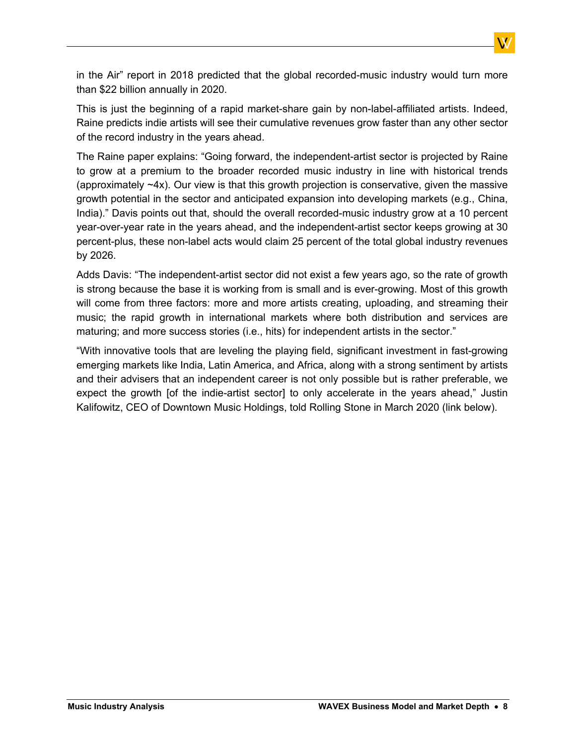in the Air" report in 2018 predicted that the global recorded-music industry would turn more than \$22 billion annually in 2020.

This is just the beginning of a rapid market-share gain by non-label-affiliated artists. Indeed, Raine predicts indie artists will see their cumulative revenues grow faster than any other sector of the record industry in the years ahead.

The Raine paper explains: "Going forward, the independent-artist sector is projected by Raine to grow at a premium to the broader recorded music industry in line with historical trends (approximately ~4x). Our view is that this growth projection is conservative, given the massive growth potential in the sector and anticipated expansion into developing markets (e.g., China, India)." Davis points out that, should the overall recorded-music industry grow at a 10 percent year-over-year rate in the years ahead, and the independent-artist sector keeps growing at 30 percent-plus, these non-label acts would claim 25 percent of the total global industry revenues by 2026.

Adds Davis: "The independent-artist sector did not exist a few years ago, so the rate of growth is strong because the base it is working from is small and is ever-growing. Most of this growth will come from three factors: more and more artists creating, uploading, and streaming their music; the rapid growth in international markets where both distribution and services are maturing; and more success stories (i.e., hits) for independent artists in the sector."

"With innovative tools that are leveling the playing field, significant investment in fast-growing emerging markets like India, Latin America, and Africa, along with a strong sentiment by artists and their advisers that an independent career is not only possible but is rather preferable, we expect the growth [of the indie-artist sector] to only accelerate in the years ahead," Justin Kalifowitz, CEO of Downtown Music Holdings, told Rolling Stone in March 2020 (link below).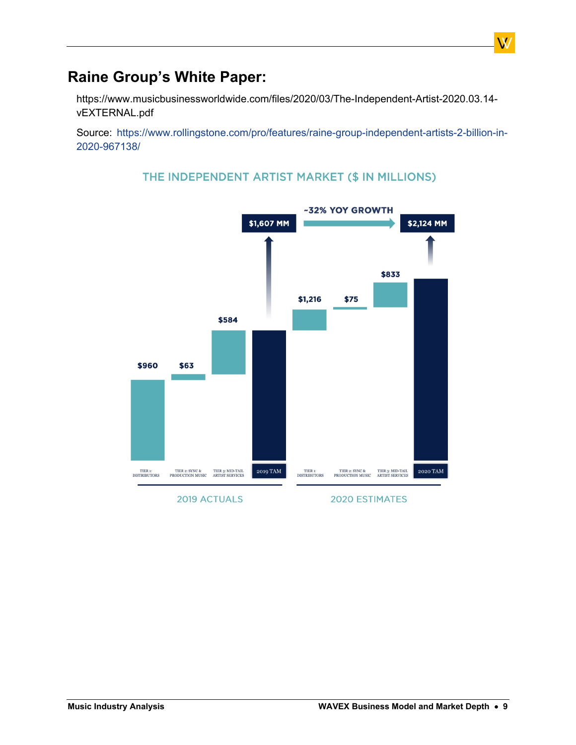### <span id="page-8-0"></span>**Raine Group's White Paper:**

https://www.musicbusinessworldwide.com/files/2020/03/The-Independent-Artist-2020.03.14 vEXTERNAL.pdf

Source: [https://www.rollingstone.com/pro/features/raine-group-independent-artists-2-billion-in-](https://www.rollingstone.com/pro/features/raine-group-independent-artists-2-billion-in-2020-967138/)[2020-967138/](https://www.rollingstone.com/pro/features/raine-group-independent-artists-2-billion-in-2020-967138/)



#### THE INDEPENDENT ARTIST MARKET (\$ IN MILLIONS)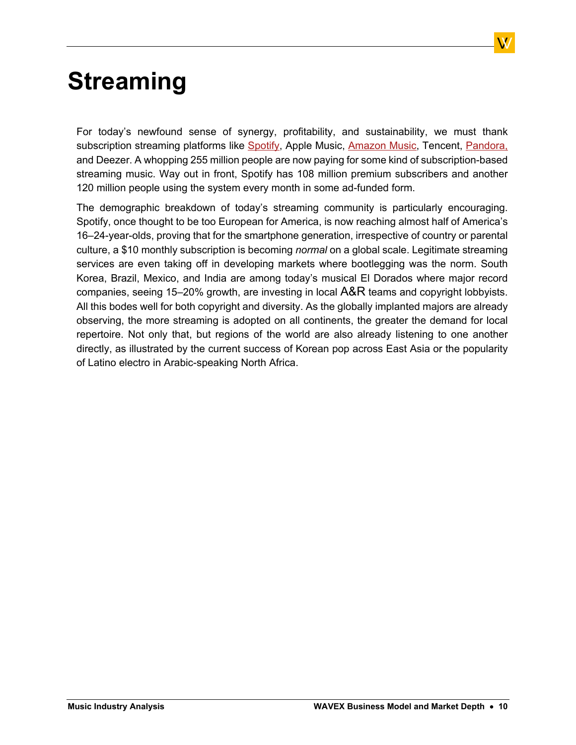# <span id="page-9-0"></span>**Streaming**

For today's newfound sense of synergy, profitability, and sustainability, we must thank subscription streaming platforms like [Spotify](https://journalofmusic.com/subject/Spotify), Apple Music, [Amazon](https://journalofmusic.com/subject/Amazon-Music) [Music,](https://journalofmusic.com/subject/Amazon-Music) Tencent, [Pandora,](https://journalofmusic.com/subject/Pandora) and Deezer. A whopping 255 million people are now paying for some kind of subscription-based streaming music. Way out in front, Spotify has 108 million premium subscribers and another 120 million people using the system every month in some ad-funded form.

The demographic breakdown of today's streaming community is particularly encouraging. Spotify, once thought to be too European for America, is now reaching almost half of America's 16–24-year-olds, proving that for the smartphone generation, irrespective of country or parental culture, a \$10 monthly subscription is becoming *normal* on a global scale. Legitimate streaming services are even taking off in developing markets where bootlegging was the norm. South Korea, Brazil, Mexico, and India are among today's musical El Dorados where major record companies, seeing 15–20% growth, are investing in local  $\mathsf{A}\&\mathsf{R}$  teams and copyright lobbyists. All this bodes well for both copyright and diversity. As the globally implanted majors are already observing, the more streaming is adopted on all continents, the greater the demand for local repertoire. Not only that, but regions of the world are also already listening to one another directly, as illustrated by the current success of Korean pop across East Asia or the popularity of Latino electro in Arabic-speaking North Africa.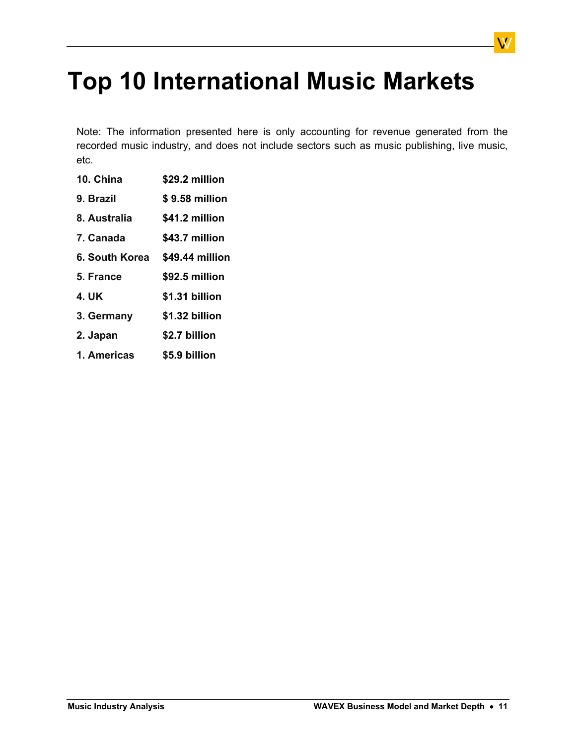# <span id="page-10-0"></span>**Top 10 International Music Markets**

Note: The information presented here is only accounting for revenue generated from the recorded music industry, and does not include sectors such as music publishing, live music, etc.

- **10. China \$29.2 million**
- **9. Brazil \$ 9.58 million**
- **8. Australia \$41.2 million**
- **7. Canada \$43.7 million**
- **6. South Korea \$49.44 million**
- **5. France \$92.5 million**
- **4. UK \$1.31 billion**
- **3. Germany \$1.32 billion**
- **2. Japan \$2.7 billion**
- **1. Americas \$5.9 billion**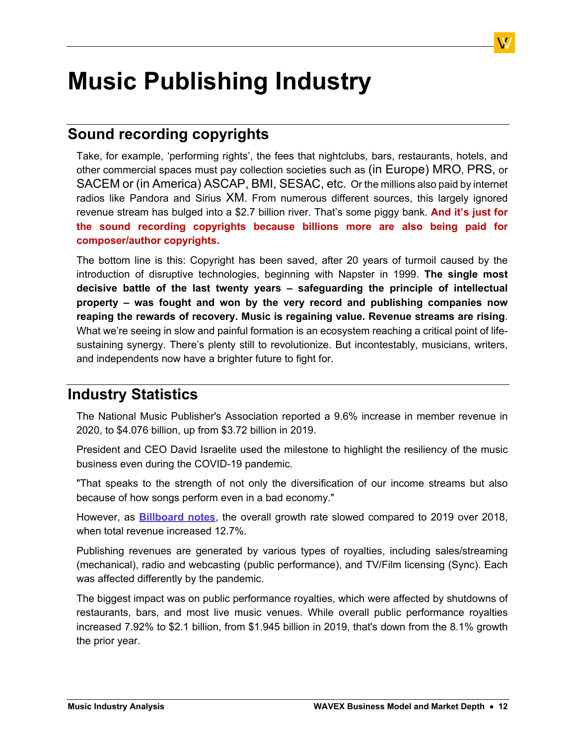# <span id="page-11-0"></span>**Music Publishing Industry**

## <span id="page-11-1"></span>**Sound recording copyrights**

Take, for example, 'performing rights', the fees that nightclubs, bars, restaurants, hotels, and other commercial spaces must pay collection societies such as (in Europe) MRO, PRS, or SACEM or (in America) ASCAP, BMI, SESAC, etc. Or the millions also paid by internet radios like Pandora and Sirius XM. From numerous different sources, this largely ignored revenue stream has bulged into a \$2.7 billion river. That's some piggy bank. **And it's just for the sound recording copyrights because billions more are also being paid for composer/author copyrights.**

The bottom line is this: Copyright has been saved, after 20 years of turmoil caused by the introduction of disruptive technologies, beginning with Napster in 1999. **The single most decisive battle of the last twenty years – safeguarding the principle of intellectual property – was fought and won by the very record and publishing companies now reaping the rewards of recovery. Music is regaining value. Revenue streams are rising**. What we're seeing in slow and painful formation is an ecosystem reaching a critical point of lifesustaining synergy. There's plenty still to revolutionize. But incontestably, musicians, writers, and independents now have a brighter future to fight for.

### <span id="page-11-2"></span>**Industry Statistics**

The National Music Publisher's Association reported a 9.6% increase in member revenue in 2020, to \$4.076 billion, up from \$3.72 billion in 2019.

President and CEO David Israelite used the milestone to highlight the resiliency of the music business even during the COVID-19 pandemic.

"That speaks to the strength of not only the diversification of our income streams but also because of how songs perform even in a bad economy."

However, as **[Billboard](https://www.billboard.com/articles/business/publishing/9585238/music-publishing-revenue-2020-nmpa/) [notes](https://www.billboard.com/articles/business/publishing/9585238/music-publishing-revenue-2020-nmpa/)**, the overall growth rate slowed compared to 2019 over 2018, when total revenue increased 12.7%.

Publishing revenues are generated by various types of royalties, including sales/streaming (mechanical), radio and webcasting (public performance), and TV/Film licensing (Sync). Each was affected differently by the pandemic.

The biggest impact was on public performance royalties, which were affected by shutdowns of restaurants, bars, and most live music venues. While overall public performance royalties increased 7.92% to \$2.1 billion, from \$1.945 billion in 2019, that's down from the 8.1% growth the prior year.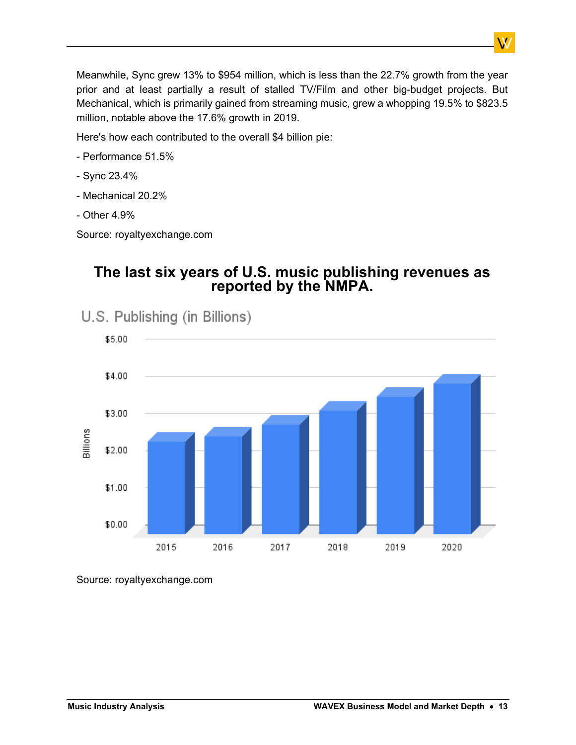Meanwhile, Sync grew 13% to \$954 million, which is less than the 22.7% growth from the year prior and at least partially a result of stalled TV/Film and other big-budget projects. But Mechanical, which is primarily gained from streaming music, grew a whopping 19.5% to \$823.5 million, notable above the 17.6% growth in 2019.

Here's how each contributed to the overall \$4 billion pie:

- Performance 51.5%
- Sync 23.4%
- Mechanical 20.2%
- Other 4.9%

Source: royaltyexchange.com

### **The last six years of U.S. music publishing revenues as reported by the NMPA.**



U.S. Publishing (in Billions)

Source: royaltyexchange.com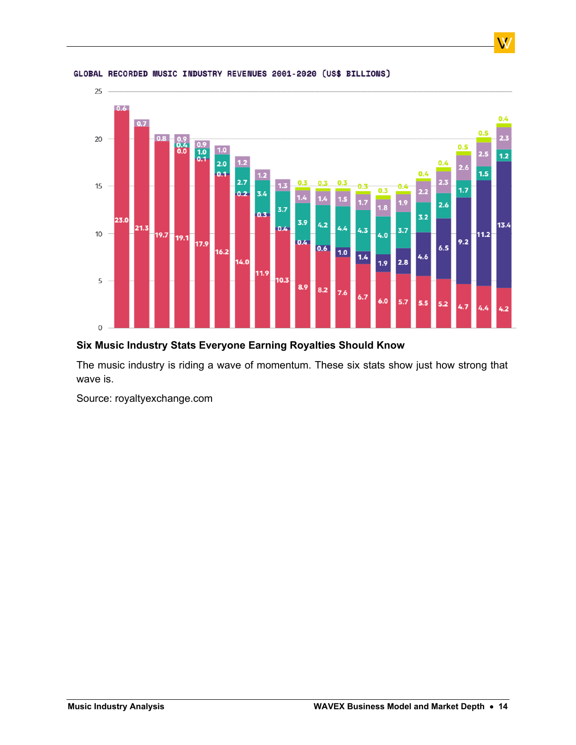

#### GLOBAL RECORDED MUSIC INDUSTRY REVENUES 2001-2020 (US\$ BILLIONS)

#### **Six Music Industry Stats Everyone Earning Royalties Should Know**

The music industry is riding a wave of momentum. These six stats show just how strong that wave is.

Source: royaltyexchange.com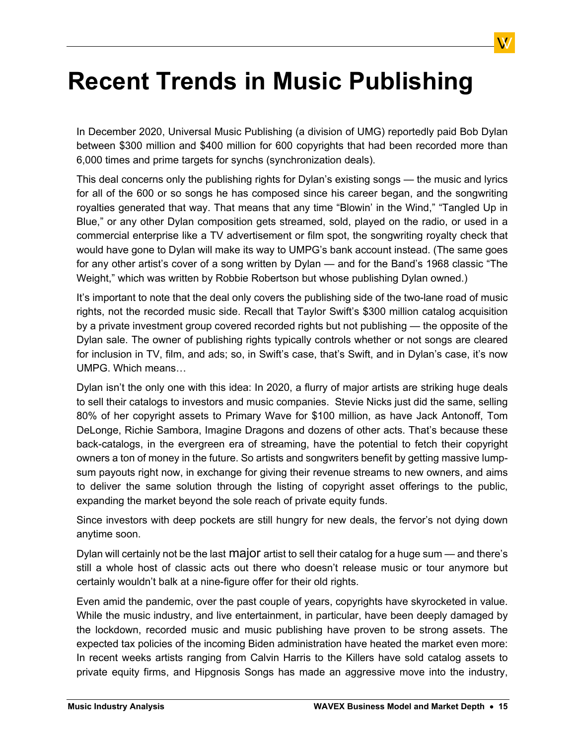# <span id="page-14-0"></span>**Recent Trends in Music Publishing**

In December 2020, Universal Music Publishing (a division of UMG) reportedly paid Bob Dylan between \$300 million and \$400 million for 600 copyrights that had been recorded more than 6,000 times and prime targets for synchs (synchronization deals).

This deal concerns only the publishing rights for Dylan's existing songs — the music and lyrics for all of the 600 or so songs he has composed since his career began, and the songwriting royalties generated that way. That means that any time "Blowin' in the Wind," "Tangled Up in Blue," or any other Dylan composition gets streamed, sold, played on the radio, or used in a commercial enterprise like a TV advertisement or film spot, the songwriting royalty check that would have gone to Dylan will make its way to UMPG's bank account instead. (The same goes for any other artist's cover of a song written by Dylan — and for the Band's 1968 classic "The Weight," which was written by Robbie Robertson but whose publishing Dylan owned.)

It's important to note that the deal only covers the publishing side of the two-lane road of music rights, not the recorded music side. Recall that Taylor Swift's \$300 million catalog acquisition by a private investment group covered recorded rights but not publishing — the opposite of the Dylan sale. The owner of publishing rights typically controls whether or not songs are cleared for inclusion in TV, film, and ads; so, in Swift's case, that's Swift, and in Dylan's case, it's now UMPG. Which means…

Dylan isn't the only one with this idea: In 2020, a flurry of major artists are striking huge deals to sell their catalogs to investors and music companies. Stevie Nicks just did the same, selling 80% of her copyright assets to Primary Wave for \$100 million, as have Jack Antonoff, Tom DeLonge, Richie Sambora, Imagine Dragons and dozens of other acts. That's because these back-catalogs, in the evergreen era of streaming, have the potential to fetch their copyright owners a ton of money in the future. So artists and songwriters benefit by getting massive lumpsum payouts right now, in exchange for giving their revenue streams to new owners, and aims to deliver the same solution through the listing of copyright asset offerings to the public, expanding the market beyond the sole reach of private equity funds.

Since investors with deep pockets are still hungry for new deals, the fervor's not dying down anytime soon.

Dylan will certainly not be the last **major** artist to sell their catalog for a huge sum — and there's still a whole host of classic acts out there who doesn't release music or tour anymore but certainly wouldn't balk at a nine-figure offer for their old rights.

Even amid the pandemic, over the past couple of years, copyrights have skyrocketed in value. While the music industry, and live entertainment, in particular, have been deeply damaged by the lockdown, recorded music and music publishing have proven to be strong assets. The expected tax policies of the incoming Biden administration have heated the market even more: In recent weeks artists ranging from Calvin Harris to the Killers have sold catalog assets to private equity firms, and Hipgnosis Songs has made an aggressive move into the industry,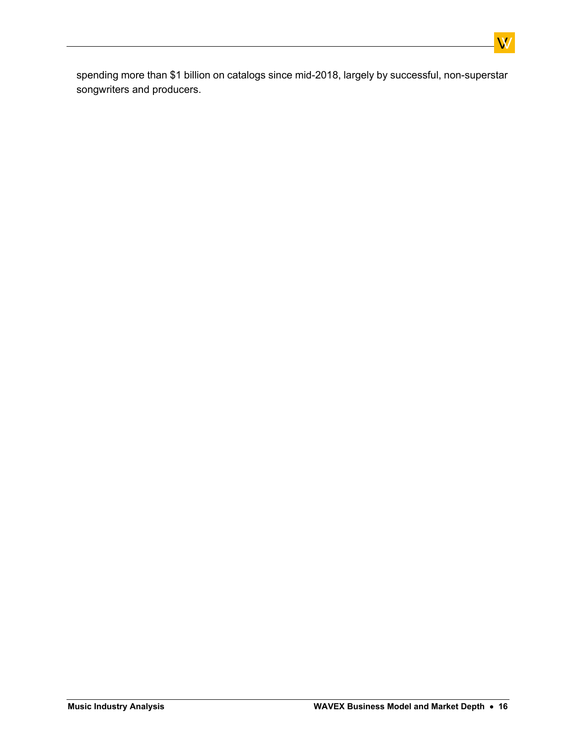spending more than \$1 billion on catalogs since mid-2018, largely by successful, non-superstar songwriters and producers.

 $\overline{\text{W}}$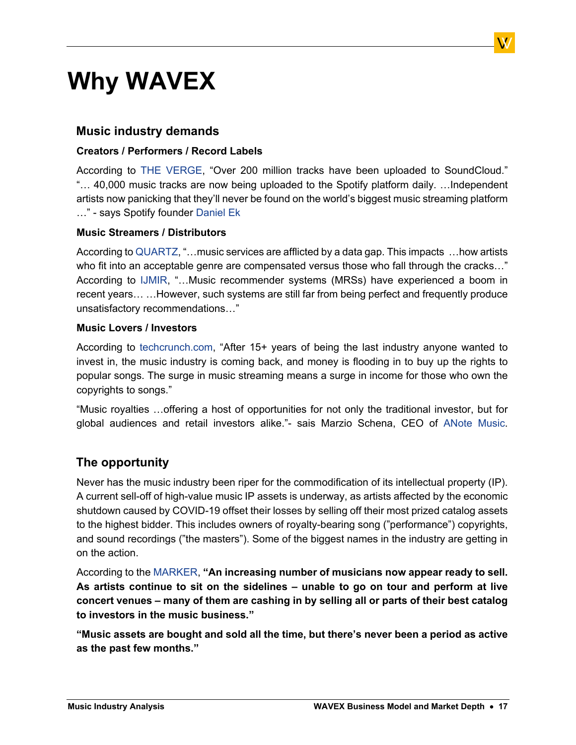# <span id="page-16-0"></span>**Why WAVEX**

#### **Music industry demands**

#### **Creators / Performers / Record Labels**

According to THE [VERGE](https://www.theverge.com/2019/2/13/18223596), "Over 200 million tracks have been uploaded to SoundCloud." "… 40,000 music tracks are now being uploaded to the Spotify platform daily. …Independent artists now panicking that they'll never be found on the world's biggest music streaming platform …" - says Spotify founder [Daniel Ek](https://www.musicbusinessworldwide.com/nearly-40000-tracks-are-now-being-added-to-spotify-every-single-day/)

#### **Music Streamers / Distributors**

According to [QUARTZ](https://qz.com/1773480), "...music services are afflicted by a data gap. This impacts ...how artists who fit into an acceptable genre are compensated versus those who fall through the cracks…" According to [IJMIR,](https://link.springer.com/article/10.1007/s13735-018-0154-2) "…Music recommender systems (MRSs) have experienced a boom in recent years… …However, such systems are still far from being perfect and frequently produce unsatisfactory recommendations…"

#### **Music Lovers / Investors**

According to [techcrunch.com](https://techcrunch.com/2018/09/30/the-war-over-music-copyrights/), "After 15+ years of being the last industry anyone wanted to invest in, the music industry is coming back, and money is flooding in to buy up the rights to popular songs. The surge in music streaming means a surge in income for those who own the copyrights to songs."

"Music royalties …offering a host of opportunities for not only the traditional investor, but for global audiences and retail investors alike."- sais Marzio Schena, CEO of [ANote](https://www.nasdaq.com/articles/in-the-pursuit-of-yield-music-royalties-are-primed-for-mainstream-investment-2020-07-14) [Music.](https://www.nasdaq.com/articles/in-the-pursuit-of-yield-music-royalties-are-primed-for-mainstream-investment-2020-07-14)

#### **Тhe opportunity**

Never has the music industry been riper for the commodification of its intellectual property (IP). A current sell-off of high-value music IP assets is underway, as artists affected by the economic shutdown caused by COVID-19 offset their losses by selling off their most prized catalog assets to the highest bidder. This includes owners of royalty-bearing song ("performance") copyrights, and sound recordings ("the masters"). Some of the biggest names in the industry are getting in on the action.

According to the [MARKER](https://marker.medium.com/i-think-that-in-due-course-other-people-will-be-saying-i-need-to-be-in-songs-f428620fe6c2), **"An increasing number of musicians now appear ready to sell. As artists continue to sit on the sidelines – unable to go on tour and perform at live concert venues – many of them are cashing in by selling all or parts of their best catalog to investors in the music business."**

**"Music assets are bought and sold all the time, but there's never been a period as active as the past few months."**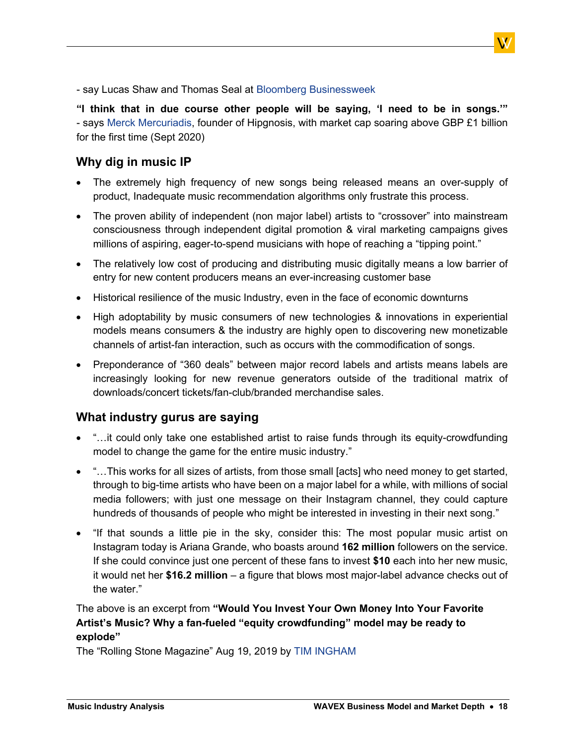- say Lucas Shaw and Thomas Seal at [Bloomberg Businessweek](https://www.facebook.com/bloombergbusinessweek/posts/2330249353786905?__cft__%5b0%5d=AZXhqihh7RnyFgxkMFU88WoOB5NO9kegxShv091XY92RDg4kmNJJ2LAiOpnHYyKyQaQrlaKqs-EUkhaZ0gjElUDMyUHdUsYSlkztTtu60kBVG_xOcjy8uSSbUGKJpWngS4UgixAkvrp8Do2oAP1aD7C_S55LRpTnkPP2TVt3IEXX4T_wunnP73T7q3zi4LVcuYI&__tn__=%2CO%2CP-R)

**"I think that in due course other people will be saying, 'I need to be in songs.'"** - says [Merck](https://marker.medium.com/i-think-that-in-due-course-other-people-will-be-saying-i-need-to-be-in-songs-f428620fe6c2) [Mercuriadis,](https://marker.medium.com/i-think-that-in-due-course-other-people-will-be-saying-i-need-to-be-in-songs-f428620fe6c2) founder of Hipgnosis, with market cap soaring above GBP £1 billion for the first time (Sept 2020)

#### **Why dig in music IP**

- The extremely high frequency of new songs being released means an over-supply of product, Inadequate music recommendation algorithms only frustrate this process.
- The proven ability of independent (non major label) artists to "crossover" into mainstream consciousness through independent digital promotion & viral marketing campaigns gives millions of aspiring, eager-to-spend musicians with hope of reaching a "tipping point."
- The relatively low cost of producing and distributing music digitally means a low barrier of entry for new content producers means an ever-increasing customer base
- Historical resilience of the music Industry, even in the face of economic downturns
- High adoptability by music consumers of new technologies & innovations in experiential models means consumers & the industry are highly open to discovering new monetizable channels of artist-fan interaction, such as occurs with the commodification of songs.
- Preponderance of "360 deals" between major record labels and artists means labels are increasingly looking for new revenue generators outside of the traditional matrix of downloads/concert tickets/fan-club/branded merchandise sales.

#### **What industry gurus are saying**

- "...it could only take one established artist to raise funds through its equity-crowdfunding model to change the game for the entire music industry."
- "…This works for all sizes of artists, from those small [acts] who need money to get started, through to big-time artists who have been on a major label for a while, with millions of social media followers; with just one message on their Instagram channel, they could capture hundreds of thousands of people who might be interested in investing in their next song."
- "If that sounds a little pie in the sky, consider this: The most popular music artist on Instagram today is Ariana Grande, who boasts around **162 million** followers on the service. If she could convince just one percent of these fans to invest **\$10** each into her new music, it would net her **\$16.2 million** – a figure that blows most major-label advance checks out of the water."

#### The above is an excerpt from **"Would You Invest Your Own Money Into Your Favorite Artist's Music? Why a fan-fueled "equity crowdfunding" model may be ready to explode"**

The "Rolling Stone Magazine" Aug 19, 2019 by [TIM INGHAM](https://www.rollingstone.com/music/music-features/would-you-invest-your-own-money-into-your-favorite-artists-music-872744/)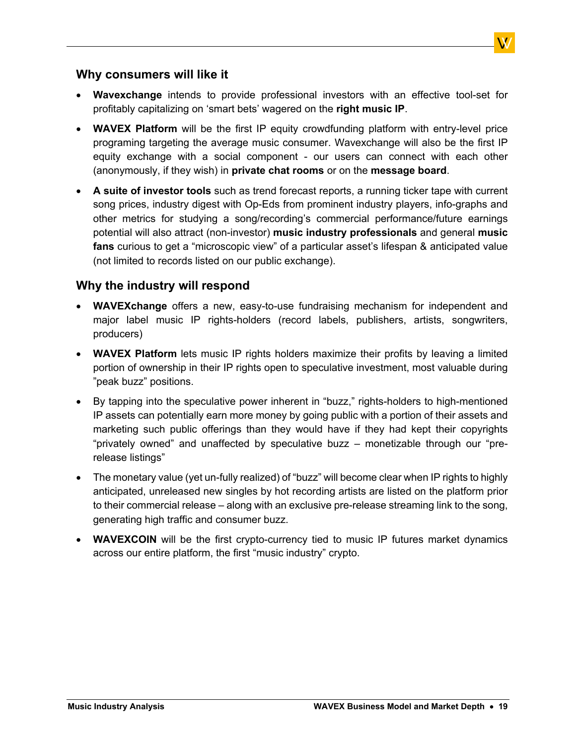

- **Wavexchange** intends to provide professional investors with an effective tool-set for profitably capitalizing on 'smart bets' wagered on the **right music IP**.
- **WAVEX Platform** will be the first IP equity crowdfunding platform with entry-level price programing targeting the average music consumer. Wavexchange will also be the first IP equity exchange with a social component - our users can connect with each other (anonymously, if they wish) in **private chat rooms** or on the **message board**.
- **A suite of investor tools** such as trend forecast reports, a running ticker tape with current song prices, industry digest with Op-Eds from prominent industry players, info-graphs and other metrics for studying a song/recording's commercial performance/future earnings potential will also attract (non-investor) **music industry professionals** and general **music fans** curious to get a "microscopic view" of a particular asset's lifespan & anticipated value (not limited to records listed on our public exchange).

#### **Why the industry will respond**

- **WAVEXchange** offers a new, easy-to-use fundraising mechanism for independent and major label music IP rights-holders (record labels, publishers, artists, songwriters, producers)
- **WAVEX Platform** lets music IP rights holders maximize their profits by leaving a limited portion of ownership in their IP rights open to speculative investment, most valuable during "peak buzz" positions.
- By tapping into the speculative power inherent in "buzz," rights-holders to high-mentioned IP assets can potentially earn more money by going public with a portion of their assets and marketing such public offerings than they would have if they had kept their copyrights "privately owned" and unaffected by speculative buzz – monetizable through our "prerelease listings"
- The monetary value (yet un-fully realized) of "buzz" will become clear when IP rights to highly anticipated, unreleased new singles by hot recording artists are listed on the platform prior to their commercial release – along with an exclusive pre-release streaming link to the song, generating high traffic and consumer buzz.
- **WAVEXCOIN** will be the first crypto-currency tied to music IP futures market dynamics across our entire platform, the first "music industry" crypto.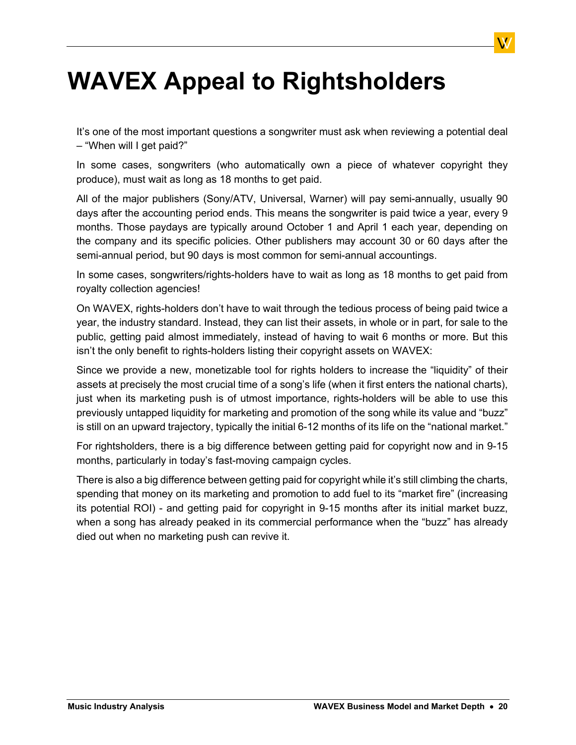# <span id="page-19-0"></span>**WAVEX Appeal to Rightsholders**

It's one of the most important questions a songwriter must ask when reviewing a potential deal – "When will I get paid?"

In some cases, songwriters (who automatically own a piece of whatever copyright they produce), must wait as long as 18 months to get paid.

All of the major publishers (Sony/ATV, Universal, Warner) will pay semi-annually, usually 90 days after the accounting period ends. This means the songwriter is paid twice a year, every 9 months. Those paydays are typically around October 1 and April 1 each year, depending on the company and its specific policies. Other publishers may account 30 or 60 days after the semi-annual period, but 90 days is most common for semi-annual accountings.

In some cases, songwriters/rights-holders have to wait as long as 18 months to get paid from royalty collection agencies!

On WAVEX, rights-holders don't have to wait through the tedious process of being paid twice a year, the industry standard. Instead, they can list their assets, in whole or in part, for sale to the public, getting paid almost immediately, instead of having to wait 6 months or more. But this isn't the only benefit to rights-holders listing their copyright assets on WAVEX:

Since we provide a new, monetizable tool for rights holders to increase the "liquidity" of their assets at precisely the most crucial time of a song's life (when it first enters the national charts), just when its marketing push is of utmost importance, rights-holders will be able to use this previously untapped liquidity for marketing and promotion of the song while its value and "buzz" is still on an upward trajectory, typically the initial 6-12 months of its life on the "national market."

For rightsholders, there is a big difference between getting paid for copyright now and in 9-15 months, particularly in today's fast-moving campaign cycles.

There is also a big difference between getting paid for copyright while it's still climbing the charts, spending that money on its marketing and promotion to add fuel to its "market fire" (increasing its potential ROI) - and getting paid for copyright in 9-15 months after its initial market buzz, when a song has already peaked in its commercial performance when the "buzz" has already died out when no marketing push can revive it.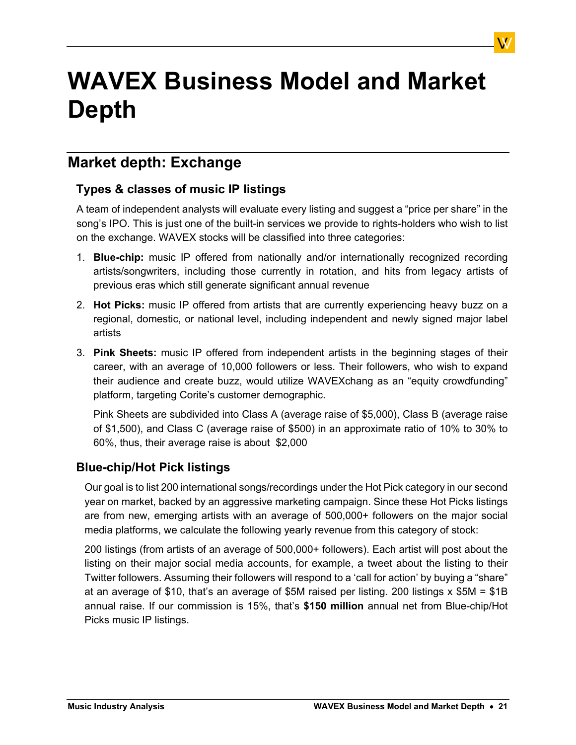# <span id="page-20-0"></span>**WAVEX Business Model and Market Depth**

### <span id="page-20-1"></span>**Market depth: Exchange**

### **Types & classes of music IP listings**

A team of independent analysts will evaluate every listing and suggest a "price per share" in the song's IPO. This is just one of the built-in services we provide to rights-holders who wish to list on the exchange. WAVEX stocks will be classified into three categories:

- 1. **Blue-chip:** music IP offered from nationally and/or internationally recognized recording artists/songwriters, including those currently in rotation, and hits from legacy artists of previous eras which still generate significant annual revenue
- 2. **Hot Picks:** music IP offered from artists that are currently experiencing heavy buzz on a regional, domestic, or national level, including independent and newly signed major label artists
- 3. **Pink Sheets:** music IP offered from independent artists in the beginning stages of their career, with an average of 10,000 followers or less. Their followers, who wish to expand their audience and create buzz, would utilize WAVEXchang as an "equity crowdfunding" platform, targeting Corite's customer demographic.

Pink Sheets are subdivided into Class A (average raise of \$5,000), Class B (average raise of \$1,500), and Class C (average raise of \$500) in an approximate ratio of 10% to 30% to 60%, thus, their average raise is about \$2,000

#### **Blue-chip/Hot Pick listings**

Our goal is to list 200 international songs/recordings under the Hot Pick category in our second year on market, backed by an aggressive marketing campaign. Since these Hot Picks listings are from new, emerging artists with an average of 500,000+ followers on the major social media platforms, we calculate the following yearly revenue from this category of stock:

200 listings (from artists of an average of 500,000+ followers). Each artist will post about the listing on their major social media accounts, for example, a tweet about the listing to their Twitter followers. Assuming their followers will respond to a 'call for action' by buying a "share" at an average of \$10, that's an average of \$5M raised per listing. 200 listings x \$5M = \$1B annual raise. If our commission is 15%, that's **\$150 million** annual net from Blue-chip/Hot Picks music IP listings.